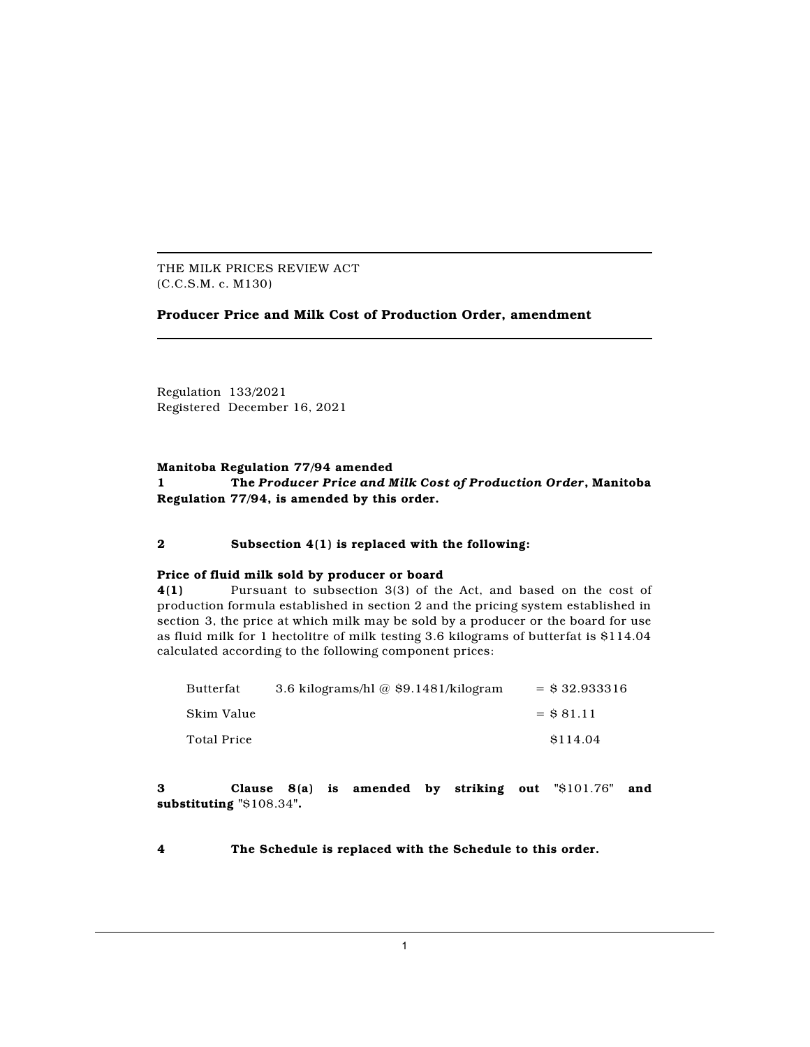THE MILK PRICES REVIEW ACT (C.C.S.M. c. M130)

# **Producer Price and Milk Cost of Production Order, amendment**

Regulation 133/2021 Registered December 16, 2021

# **Manitoba Regulation 77/94 amended 1 The** *Producer Price and Milk Cost of Production Order***, Manitoba Regulation 77/94, is amended by this order.**

### **2 Subsection 4(1) is replaced with the following:**

#### **Price of fluid milk sold by producer or board**

**4(1)** Pursuant to subsection 3(3) of the Act, and based on the cost of production formula established in section 2 and the pricing system established in section 3, the price at which milk may be sold by a producer or the board for use as fluid milk for 1 hectolitre of milk testing 3.6 kilograms of butterfat is \$114.04 calculated according to the following component prices:

| Butterfat   | 3.6 kilograms/hl $@$ \$9.1481/kilogram | $=$ \$ 32.933316 |
|-------------|----------------------------------------|------------------|
| Skim Value  |                                        | $=$ \$ 81.11     |
| Total Price |                                        | \$114.04         |

**3 Clause 8(a) is amended by striking out "**\$101.76**" and substituting "**\$108.34**".**

**4 The Schedule is replaced with the Schedule to this order.**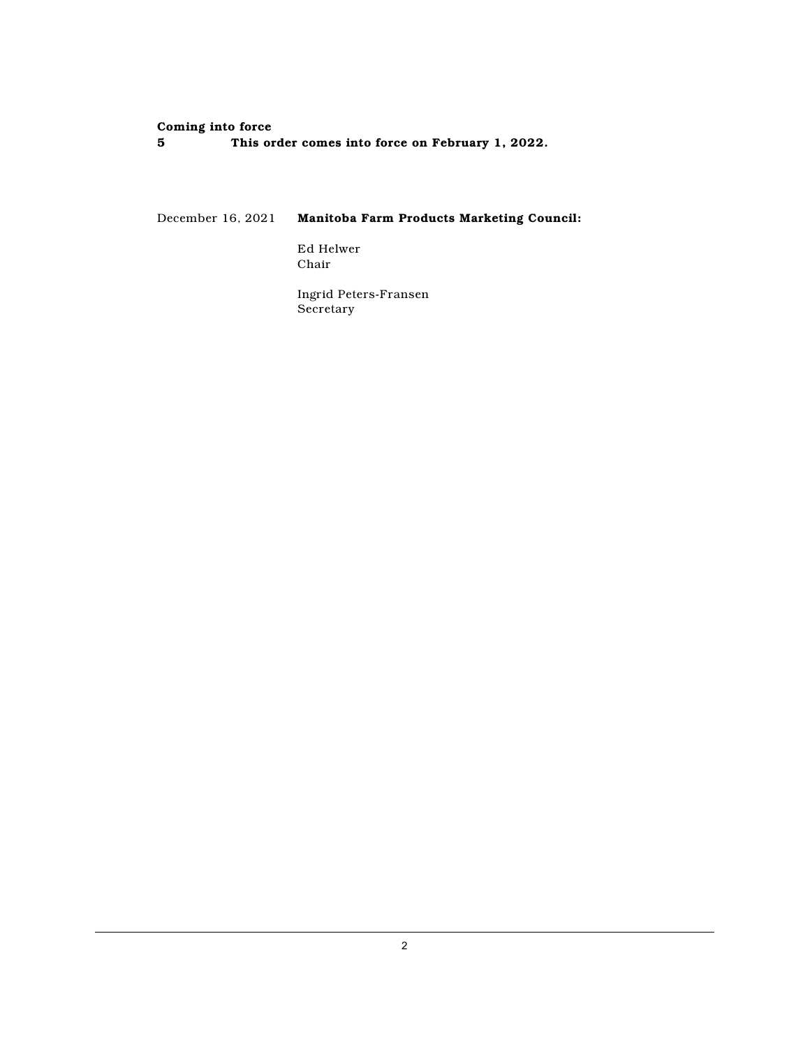# **Coming** into force<br>5 This or

**5 This order comes into force on February 1, 2022.**

December 16, 2021 **Manitoba Farm Products Marketing Council:**

Ed Helwer Chair

Ingrid Peters-Fransen Secretary